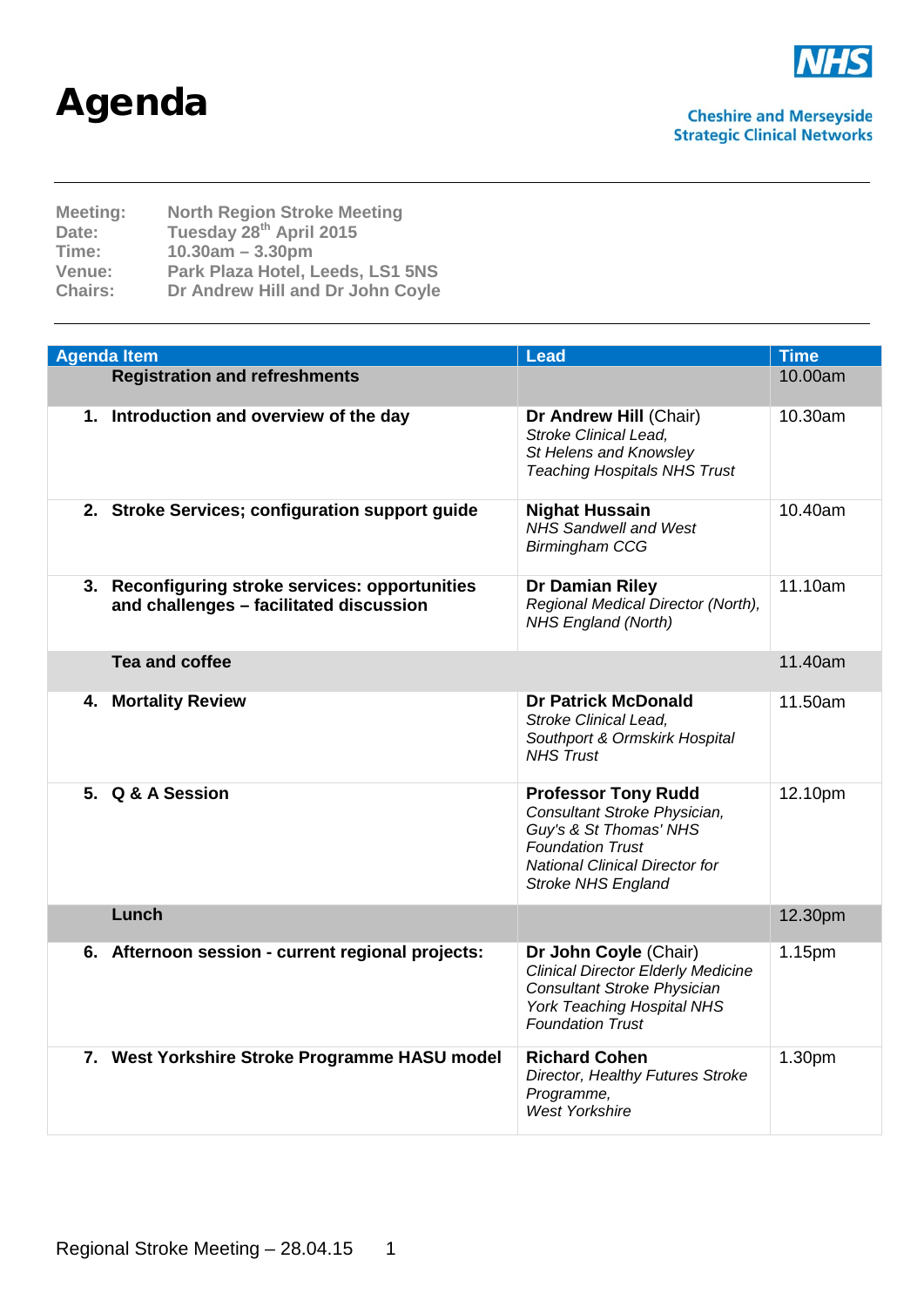## Agenda



| <b>Meeting:</b><br>Date:<br>Time:<br>Venue: | <b>North Region Stroke Meeting</b><br>Tuesday 28th April 2015<br>$10.30am - 3.30pm$<br>Park Plaza Hotel, Leeds, LS1 5NS |
|---------------------------------------------|-------------------------------------------------------------------------------------------------------------------------|
| <b>Chairs:</b>                              | Dr Andrew Hill and Dr John Coyle                                                                                        |
|                                             |                                                                                                                         |

| <b>Agenda Item</b>                                                                         | <b>Lead</b>                                                                                                                                                                           | <b>Time</b> |
|--------------------------------------------------------------------------------------------|---------------------------------------------------------------------------------------------------------------------------------------------------------------------------------------|-------------|
| <b>Registration and refreshments</b>                                                       |                                                                                                                                                                                       | 10.00am     |
| 1. Introduction and overview of the day                                                    | Dr Andrew Hill (Chair)<br><b>Stroke Clinical Lead,</b><br>St Helens and Knowsley<br><b>Teaching Hospitals NHS Trust</b>                                                               | 10.30am     |
| 2. Stroke Services; configuration support guide                                            | <b>Nighat Hussain</b><br><b>NHS Sandwell and West</b><br><b>Birmingham CCG</b>                                                                                                        | 10.40am     |
| 3. Reconfiguring stroke services: opportunities<br>and challenges - facilitated discussion | Dr Damian Riley<br>Regional Medical Director (North),<br>NHS England (North)                                                                                                          | 11.10am     |
| <b>Tea and coffee</b>                                                                      |                                                                                                                                                                                       | 11.40am     |
| 4. Mortality Review                                                                        | <b>Dr Patrick McDonald</b><br><b>Stroke Clinical Lead,</b><br>Southport & Ormskirk Hospital<br><b>NHS</b> Trust                                                                       | 11.50am     |
| 5. Q & A Session                                                                           | <b>Professor Tony Rudd</b><br>Consultant Stroke Physician,<br>Guy's & St Thomas' NHS<br><b>Foundation Trust</b><br><b>National Clinical Director for</b><br><b>Stroke NHS England</b> | 12.10pm     |
| Lunch                                                                                      |                                                                                                                                                                                       | 12.30pm     |
| 6. Afternoon session - current regional projects:                                          | Dr John Coyle (Chair)<br><b>Clinical Director Elderly Medicine</b><br>Consultant Stroke Physician<br><b>York Teaching Hospital NHS</b><br><b>Foundation Trust</b>                     | 1.15pm      |
| 7. West Yorkshire Stroke Programme HASU model                                              | <b>Richard Cohen</b><br>Director, Healthy Futures Stroke<br>Programme,<br><b>West Yorkshire</b>                                                                                       | 1.30pm      |